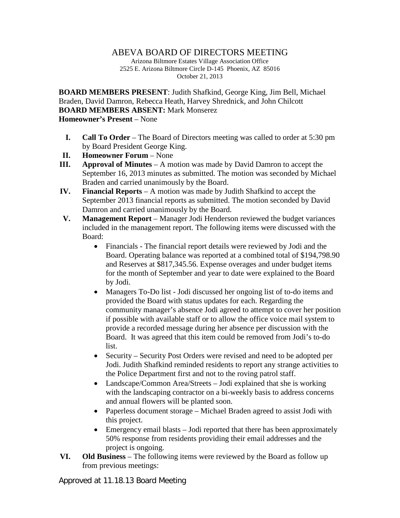## ABEVA BOARD OF DIRECTORS MEETING

Arizona Biltmore Estates Village Association Office 2525 E. Arizona Biltmore Circle D-145 Phoenix, AZ 85016 October 21, 2013

**BOARD MEMBERS PRESENT**: Judith Shafkind, George King, Jim Bell, Michael Braden, David Damron, Rebecca Heath, Harvey Shrednick, and John Chilcott **BOARD MEMBERS ABSENT:** Mark Monserez **Homeowner's Present** – None

- **I. Call To Order** The Board of Directors meeting was called to order at 5:30 pm by Board President George King.
- **II. Homeowner Forum** None
- **III. Approval of Minutes** A motion was made by David Damron to accept the September 16, 2013 minutes as submitted. The motion was seconded by Michael Braden and carried unanimously by the Board.
- **IV. Financial Reports** A motion was made by Judith Shafkind to accept the September 2013 financial reports as submitted. The motion seconded by David Damron and carried unanimously by the Board.
- **V. Management Report** Manager Jodi Henderson reviewed the budget variances included in the management report. The following items were discussed with the Board:
	- Financials The financial report details were reviewed by Jodi and the Board. Operating balance was reported at a combined total of \$194,798.90 and Reserves at \$817,345.56. Expense overages and under budget items for the month of September and year to date were explained to the Board by Jodi.
	- Managers To-Do list Jodi discussed her ongoing list of to-do items and provided the Board with status updates for each. Regarding the community manager's absence Jodi agreed to attempt to cover her position if possible with available staff or to allow the office voice mail system to provide a recorded message during her absence per discussion with the Board. It was agreed that this item could be removed from Jodi's to-do list.
	- Security Security Post Orders were revised and need to be adopted per Jodi. Judith Shafkind reminded residents to report any strange activities to the Police Department first and not to the roving patrol staff.
	- Landscape/Common Area/Streets Jodi explained that she is working with the landscaping contractor on a bi-weekly basis to address concerns and annual flowers will be planted soon.
	- Paperless document storage Michael Braden agreed to assist Jodi with this project.
	- Emergency email blasts Jodi reported that there has been approximately 50% response from residents providing their email addresses and the project is ongoing.
- **VI. Old Business** The following items were reviewed by the Board as follow up from previous meetings:

Approved at 11.18.13 Board Meeting